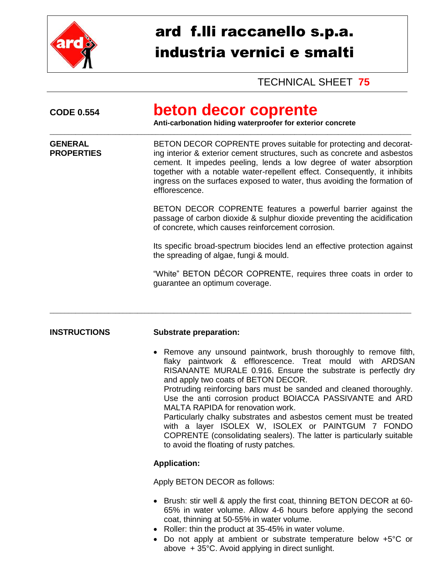

# ard f.lli raccanello s.p.a. industria vernici e smalti

# TECHNICAL SHEET **75**

| <b>CODE 0.554</b>                   | beton decor coprente<br>Anti-carbonation hiding waterproofer for exterior concrete                                                                                                                                                                                                                                                                                                                                                                                                                                                                                                                                                                                      |  |  |  |  |
|-------------------------------------|-------------------------------------------------------------------------------------------------------------------------------------------------------------------------------------------------------------------------------------------------------------------------------------------------------------------------------------------------------------------------------------------------------------------------------------------------------------------------------------------------------------------------------------------------------------------------------------------------------------------------------------------------------------------------|--|--|--|--|
| <b>GENERAL</b><br><b>PROPERTIES</b> | BETON DECOR COPRENTE proves suitable for protecting and decorat-<br>ing interior & exterior cement structures, such as concrete and asbestos<br>cement. It impedes peeling, lends a low degree of water absorption<br>together with a notable water-repellent effect. Consequently, it inhibits<br>ingress on the surfaces exposed to water, thus avoiding the formation of<br>efflorescence.                                                                                                                                                                                                                                                                           |  |  |  |  |
|                                     | BETON DECOR COPRENTE features a powerful barrier against the<br>passage of carbon dioxide & sulphur dioxide preventing the acidification<br>of concrete, which causes reinforcement corrosion.                                                                                                                                                                                                                                                                                                                                                                                                                                                                          |  |  |  |  |
|                                     | Its specific broad-spectrum biocides lend an effective protection against<br>the spreading of algae, fungi & mould.                                                                                                                                                                                                                                                                                                                                                                                                                                                                                                                                                     |  |  |  |  |
|                                     | "White" BETON DÉCOR COPRENTE, requires three coats in order to<br>guarantee an optimum coverage.                                                                                                                                                                                                                                                                                                                                                                                                                                                                                                                                                                        |  |  |  |  |
| <b>INSTRUCTIONS</b>                 | <b>Substrate preparation:</b>                                                                                                                                                                                                                                                                                                                                                                                                                                                                                                                                                                                                                                           |  |  |  |  |
|                                     | Remove any unsound paintwork, brush thoroughly to remove filth,<br>$\bullet$<br>flaky paintwork & efflorescence. Treat mould with ARDSAN<br>RISANANTE MURALE 0.916. Ensure the substrate is perfectly dry<br>and apply two coats of BETON DECOR.<br>Protruding reinforcing bars must be sanded and cleaned thoroughly.<br>Use the anti corrosion product BOIACCA PASSIVANTE and ARD<br>MALTA RAPIDA for renovation work.<br>Particularly chalky substrates and asbestos cement must be treated<br>with a layer ISOLEX W, ISOLEX or PAINTGUM 7 FONDO<br>COPRENTE (consolidating sealers). The latter is particularly suitable<br>to avoid the floating of rusty patches. |  |  |  |  |
|                                     | <b>Application:</b>                                                                                                                                                                                                                                                                                                                                                                                                                                                                                                                                                                                                                                                     |  |  |  |  |
|                                     | Apply BETON DECOR as follows:                                                                                                                                                                                                                                                                                                                                                                                                                                                                                                                                                                                                                                           |  |  |  |  |
|                                     | Brush: stir well & apply the first coat, thinning BETON DECOR at 60-<br>65% in water volume. Allow 4-6 hours before applying the second<br>coat, thinning at 50-55% in water volume.<br>Roller: thin the product at 35-45% in water volume.<br>$\bullet$                                                                                                                                                                                                                                                                                                                                                                                                                |  |  |  |  |

 Do not apply at ambient or substrate temperature below +5°C or above + 35°C. Avoid applying in direct sunlight.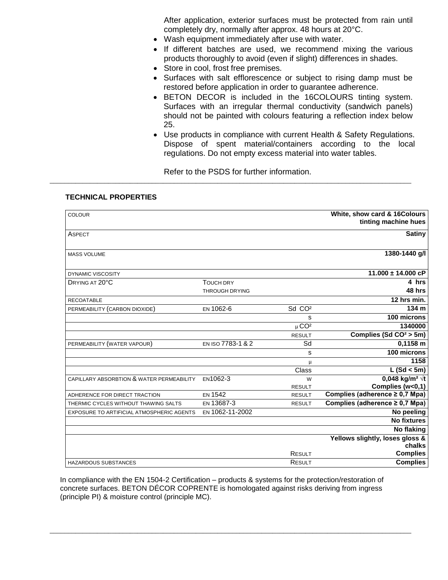After application, exterior surfaces must be protected from rain until completely dry, normally after approx. 48 hours at 20°C.

- Wash equipment immediately after use with water.
- If different batches are used, we recommend mixing the various products thoroughly to avoid (even if slight) differences in shades.
- Store in cool, frost free premises.
- Surfaces with salt efflorescence or subject to rising damp must be restored before application in order to guarantee adherence.
- BETON DECOR is included in the 16COLOURS tinting system. Surfaces with an irregular thermal conductivity (sandwich panels) should not be painted with colours featuring a reflection index below 25.
- Use products in compliance with current Health & Safety Regulations. Dispose of spent material/containers according to the local regulations. Do not empty excess material into water tables.

Refer to the PSDS for further information.

\_\_\_\_\_\_\_\_\_\_\_\_\_\_\_\_\_\_\_\_\_\_\_\_\_\_\_\_\_\_\_\_\_\_\_\_\_\_\_\_\_\_\_\_\_\_\_\_\_\_\_\_\_\_\_\_\_\_\_\_\_\_\_\_\_\_\_\_\_\_\_\_\_\_\_\_\_\_\_\_\_\_\_\_\_\_\_\_\_\_\_\_\_\_\_\_\_\_\_

#### **TECHNICAL PROPERTIES**

| <b>COLOUR</b>                             |                       |                       | White, show card & 16Colours        |
|-------------------------------------------|-----------------------|-----------------------|-------------------------------------|
|                                           |                       |                       | tinting machine hues                |
| <b>ASPECT</b>                             |                       |                       | <b>Satiny</b>                       |
|                                           |                       |                       |                                     |
|                                           |                       |                       |                                     |
| <b>MASS VOLUME</b>                        |                       |                       | 1380-1440 g/l                       |
|                                           |                       |                       |                                     |
| <b>DYNAMIC VISCOSITY</b>                  |                       |                       | $11.000 \pm 14.000$ cP              |
| DRYING AT 20°C                            | <b>TOUCH DRY</b>      |                       | 4 hrs                               |
|                                           | <b>THROUGH DRYING</b> |                       | 48 hrs                              |
| <b>RECOATABLE</b>                         |                       |                       | $12$ hrs min.                       |
| PERMEABILITY (CARBON DIOXIDE)             | EN 1062-6             | Sd CO <sup>2</sup>    | 134 m                               |
|                                           |                       | s                     | 100 microns                         |
|                                           |                       | $\mu$ CO <sup>2</sup> | 1340000                             |
|                                           |                       | <b>RESULT</b>         | Complies (Sd $CO2 > 5m$ )           |
|                                           |                       |                       |                                     |
| PERMEABILITY (WATER VAPOUR)               | EN ISO 7783-1 & 2     | Sd                    | 0,1158 m                            |
|                                           |                       | S                     | 100 microns                         |
|                                           |                       | μ                     | 1158                                |
|                                           |                       | Class                 | L (Sd < 5m)                         |
| CAPILLARY ABSORBTION & WATER PERMEABILITY | EN1062-3              | W                     | 0,048 kg/m <sup>2</sup> $\sqrt{t}$  |
|                                           |                       | <b>RESULT</b>         | Complies (w<0,1)                    |
| ADHERENCE FOR DIRECT TRACTION             | <b>EN 1542</b>        | <b>RESULT</b>         | Complies (adherence ≥ 0,7 Mpa)      |
| THERMIC CYCLES WITHOUT THAWING SALTS      | EN 13687-3            | <b>RESULT</b>         | Complies (adherence $\geq$ 0,7 Mpa) |
| EXPOSURE TO ARTIFICIAL ATMOSPHERIC AGENTS | EN 1062-11-2002       |                       | No peeling                          |
|                                           |                       |                       | <b>No fixtures</b>                  |
|                                           |                       |                       | <b>No flaking</b>                   |
|                                           |                       |                       | Yellows slightly, loses gloss &     |
|                                           |                       |                       | chalks                              |
|                                           |                       | <b>RESULT</b>         | <b>Complies</b>                     |
| <b>HAZARDOUS SUBSTANCES</b>               |                       | RESULT                | <b>Complies</b>                     |
|                                           |                       |                       |                                     |

In compliance with the EN 1504-2 Certification – products & systems for the protection/restoration of concrete surfaces. BETON DÉCOR COPRENTE is homologated against risks deriving from ingress (principle PI) & moisture control (principle MC).

\_\_\_\_\_\_\_\_\_\_\_\_\_\_\_\_\_\_\_\_\_\_\_\_\_\_\_\_\_\_\_\_\_\_\_\_\_\_\_\_\_\_\_\_\_\_\_\_\_\_\_\_\_\_\_\_\_\_\_\_\_\_\_\_\_\_\_\_\_\_\_\_\_\_\_\_\_\_\_\_\_\_\_\_\_\_\_\_\_\_\_\_\_\_\_\_\_\_\_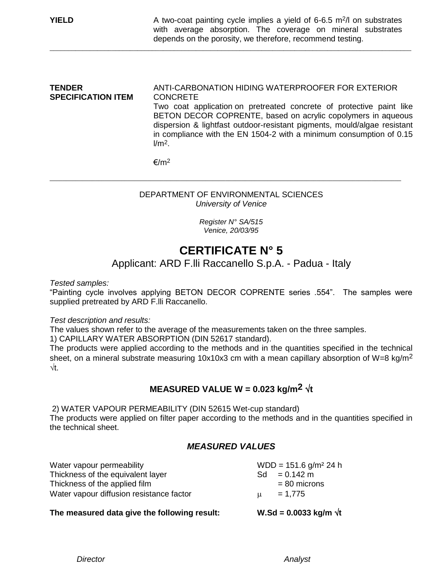#### **TENDER** ANTI-CARBONATION HIDING WATERPROOFER FOR EXTERIOR<br>SPECIFICATION ITEM CONCRETE **SPECIFICATION ITEM** Two coat application on pretreated concrete of protective paint like BETON DECOR COPRENTE, based on acrylic copolymers in aqueous dispersion & lightfast outdoor-resistant pigments, mould/algae resistant in compliance with the EN 1504-2 with a minimum consumption of 0.15  $l/m<sup>2</sup>$

\_\_\_\_\_\_\_\_\_\_\_\_\_\_\_\_\_\_\_\_\_\_\_\_\_\_\_\_\_\_\_\_\_\_\_\_\_\_\_\_\_\_\_\_\_\_\_\_\_\_\_\_\_\_\_\_\_\_\_\_\_\_\_\_\_\_\_\_\_\_\_\_\_\_\_\_\_\_\_\_\_\_\_\_\_\_\_\_\_\_\_\_\_\_\_\_\_\_\_

 $€/m<sup>2</sup>$ 

#### DEPARTMENT OF ENVIRONMENTAL SCIENCES *University of Venice*

\_\_\_\_\_\_\_\_\_\_\_\_\_\_\_\_\_\_\_\_\_\_\_\_\_\_\_\_\_\_\_\_\_\_\_\_\_\_\_\_\_\_\_\_\_\_\_\_\_\_\_\_\_\_\_\_\_\_\_\_\_\_\_\_\_\_\_\_\_\_\_\_\_\_\_\_\_\_\_\_\_\_\_\_\_\_\_\_\_\_\_\_\_\_\_\_\_\_\_\_\_\_\_\_\_\_\_\_

*Register N° SA/515 Venice, 20/03/95*

# **CERTIFICATE N° 5**

### Applicant: ARD F.lli Raccanello S.p.A. - Padua - Italy

*Tested samples:*

"Painting cycle involves applying BETON DECOR COPRENTE series .554". The samples were supplied pretreated by ARD F.lli Raccanello.

#### *Test description and results:*

The values shown refer to the average of the measurements taken on the three samples.

1) CAPILLARY WATER ABSORPTION (DIN 52617 standard).

The products were applied according to the methods and in the quantities specified in the technical sheet, on a mineral substrate measuring 10x10x3 cm with a mean capillary absorption of W=8 kg/m<sup>2</sup>  $\sqrt{t}$ 

### **MEASURED VALUE W = 0.023 kg/m<sup>2</sup>**  $\sqrt{t}$

2) WATER VAPOUR PERMEABILITY (DIN 52615 Wet-cup standard)

The products were applied on filter paper according to the methods and in the quantities specified in the technical sheet.

#### *MEASURED VALUES*

| Water vapour permeability<br>Thickness of the equivalent layer | Sd. | $WDD = 151.6$ g/m <sup>2</sup> 24 h<br>$= 0.142$ m |
|----------------------------------------------------------------|-----|----------------------------------------------------|
| Thickness of the applied film                                  |     | $= 80$ microns                                     |
| Water vapour diffusion resistance factor                       | u   | $= 1,775$                                          |

#### The measured data give the following result:  $W.Sd = 0.0033$  kg/m  $\sqrt{t}$